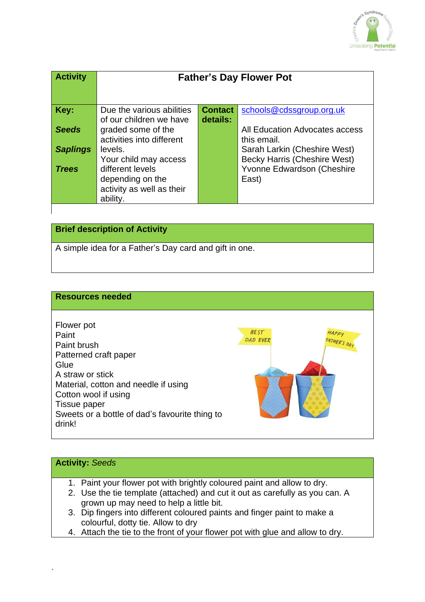

| <b>Activity</b> | <b>Father's Day Flower Pot</b> |                |                                     |
|-----------------|--------------------------------|----------------|-------------------------------------|
| Key:            | Due the various abilities      | <b>Contact</b> | schools@cdssgroup.org.uk            |
|                 | of our children we have        | details:       |                                     |
| <b>Seeds</b>    | graded some of the             |                | All Education Advocates access      |
|                 | activities into different      |                | this email.                         |
| <b>Saplings</b> | levels.                        |                | Sarah Larkin (Cheshire West)        |
|                 | Your child may access          |                | <b>Becky Harris (Cheshire West)</b> |
| <b>Trees</b>    | different levels               |                | Yvonne Edwardson (Cheshire          |
|                 | depending on the               |                | East)                               |
|                 | activity as well as their      |                |                                     |
|                 | ability.                       |                |                                     |
|                 |                                |                |                                     |

### **Brief description of Activity**

A simple idea for a Father's Day card and gift in one.

#### **Resources needed**



#### **Activity:** *Seeds*

- 1. Paint your flower pot with brightly coloured paint and allow to dry.
- 2. Use the tie template (attached) and cut it out as carefully as you can. A grown up may need to help a little bit.
- 3. Dip fingers into different coloured paints and finger paint to make a colourful, dotty tie. Allow to dry
- 4. Attach the tie to the front of your flower pot with glue and allow to dry.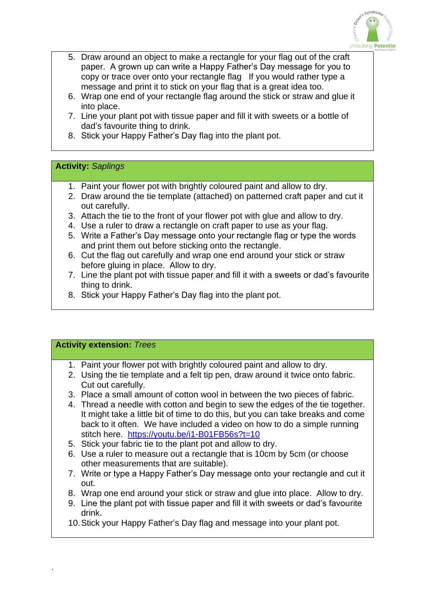

- 5. Draw around an object to make a rectangle for your flag out of the craft paper. A grown up can write a Happy Father's Day message for you to copy or trace over onto your rectangle flag If you would rather type a message and print it to stick on your flag that is a great idea too.
- 6. Wrap one end of your rectangle flag around the stick or straw and glue it into place.
- 7. Line your plant pot with tissue paper and fill it with sweets or a bottle of dad's favourite thing to drink.
- 8. Stick your Happy Father's Day flag into the plant pot.

### **Activity:** *Saplings*

- 1. Paint your flower pot with brightly coloured paint and allow to dry.
- 2. Draw around the tie template (attached) on patterned craft paper and cut it out carefully.
- 3. Attach the tie to the front of your flower pot with glue and allow to dry.
- 4. Use a ruler to draw a rectangle on craft paper to use as your flag.
- 5. Write a Father's Day message onto your rectangle flag or type the words and print them out before sticking onto the rectangle.
- 6. Cut the flag out carefully and wrap one end around your stick or straw before gluing in place. Allow to dry.
- 7. Line the plant pot with tissue paper and fill it with a sweets or dad's favourite thing to drink.
- 8. Stick your Happy Father's Day flag into the plant pot.

## **Activity extension:** *Trees*

`

- 1. Paint your flower pot with brightly coloured paint and allow to dry.
- 2. Using the tie template and a felt tip pen, draw around it twice onto fabric. Cut out carefully.
- 3. Place a small amount of cotton wool in between the two pieces of fabric.
- 4. Thread a needle with cotton and begin to sew the edges of the tie together. It might take a little bit of time to do this, but you can take breaks and come back to it often. We have included a video on how to do a simple running stitch here. <https://youtu.be/i1-B01FB56s?t=10>
- 5. Stick your fabric tie to the plant pot and allow to dry.
- 6. Use a ruler to measure out a rectangle that is 10cm by 5cm (or choose other measurements that are suitable).
- 7. Write or type a Happy Father's Day message onto your rectangle and cut it out.
- 8. Wrap one end around your stick or straw and glue into place. Allow to dry.
- 9. Line the plant pot with tissue paper and fill it with sweets or dad's favourite drink.
- 10.Stick your Happy Father's Day flag and message into your plant pot.